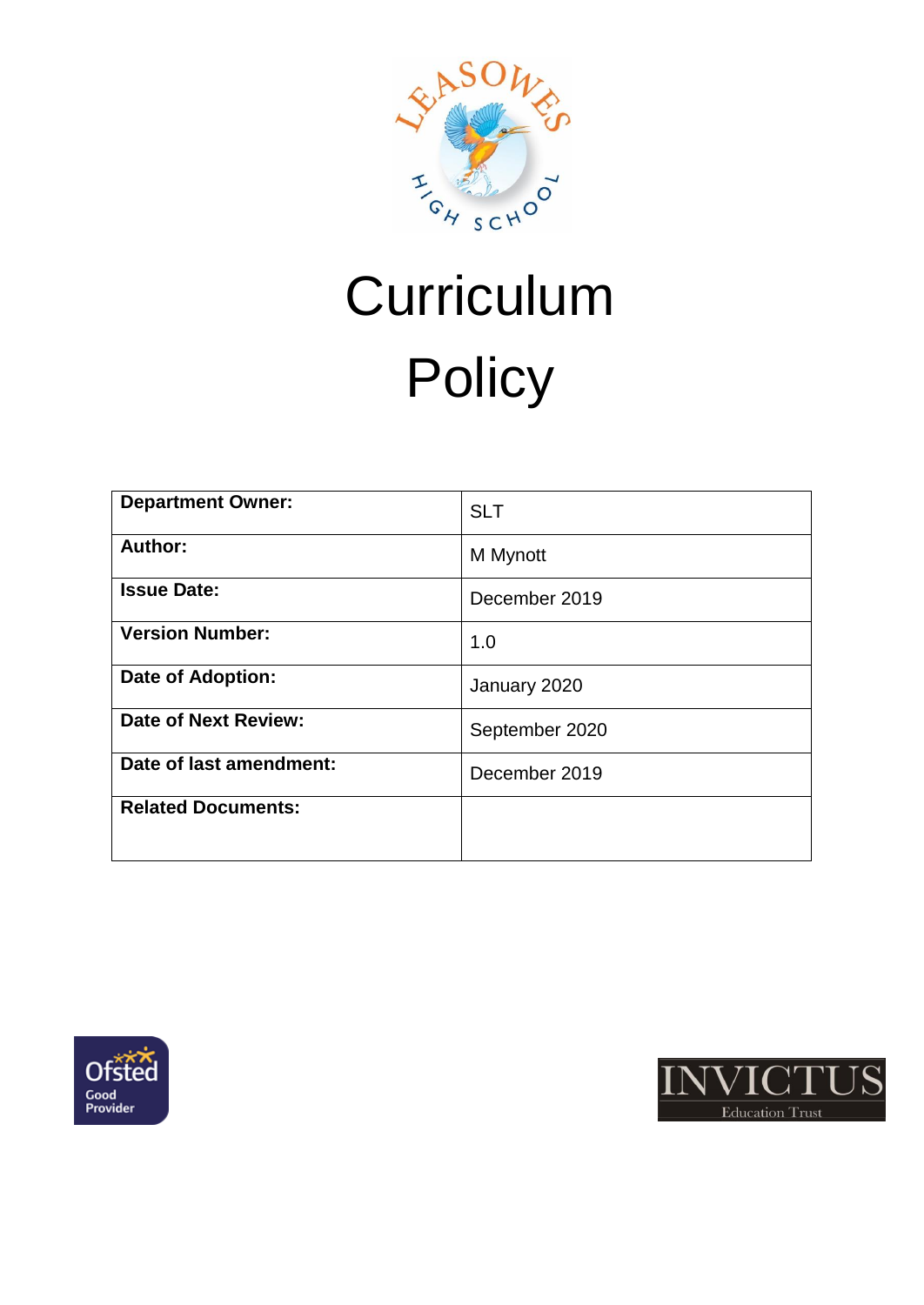

# **Curriculum Policy**

| <b>Department Owner:</b>  | <b>SLT</b>     |
|---------------------------|----------------|
| Author:                   | M Mynott       |
| <b>Issue Date:</b>        | December 2019  |
| <b>Version Number:</b>    | 1.0            |
| <b>Date of Adoption:</b>  | January 2020   |
| Date of Next Review:      | September 2020 |
| Date of last amendment:   | December 2019  |
| <b>Related Documents:</b> |                |
|                           |                |



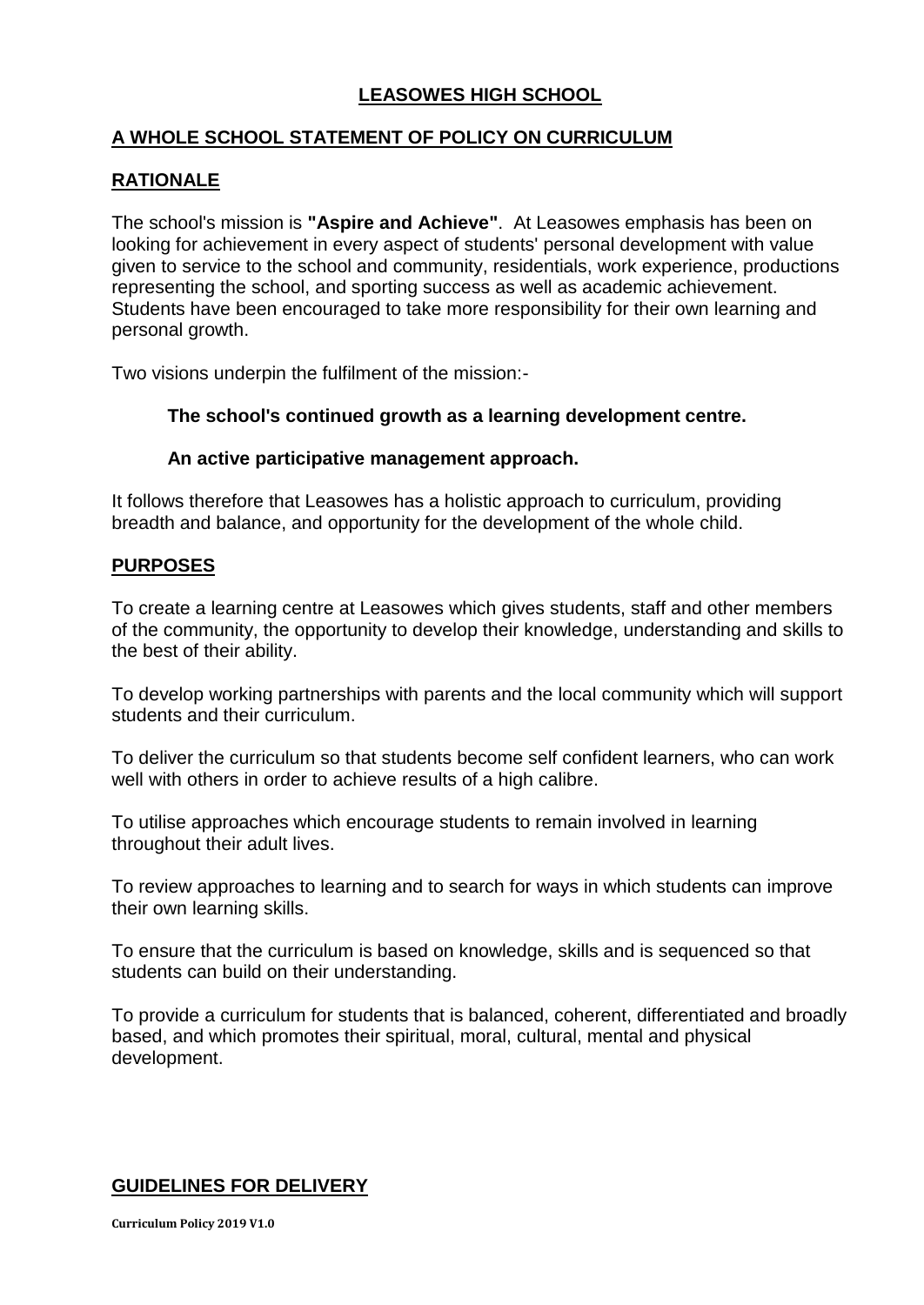# **LEASOWES HIGH SCHOOL**

## **A WHOLE SCHOOL STATEMENT OF POLICY ON CURRICULUM**

## **RATIONALE**

The school's mission is **"Aspire and Achieve"**. At Leasowes emphasis has been on looking for achievement in every aspect of students' personal development with value given to service to the school and community, residentials, work experience, productions representing the school, and sporting success as well as academic achievement. Students have been encouraged to take more responsibility for their own learning and personal growth.

Two visions underpin the fulfilment of the mission:-

#### **The school's continued growth as a learning development centre.**

#### **An active participative management approach.**

It follows therefore that Leasowes has a holistic approach to curriculum, providing breadth and balance, and opportunity for the development of the whole child.

#### **PURPOSES**

To create a learning centre at Leasowes which gives students, staff and other members of the community, the opportunity to develop their knowledge, understanding and skills to the best of their ability.

To develop working partnerships with parents and the local community which will support students and their curriculum.

To deliver the curriculum so that students become self confident learners, who can work well with others in order to achieve results of a high calibre.

To utilise approaches which encourage students to remain involved in learning throughout their adult lives.

To review approaches to learning and to search for ways in which students can improve their own learning skills.

To ensure that the curriculum is based on knowledge, skills and is sequenced so that students can build on their understanding.

To provide a curriculum for students that is balanced, coherent, differentiated and broadly based, and which promotes their spiritual, moral, cultural, mental and physical development.

## **GUIDELINES FOR DELIVERY**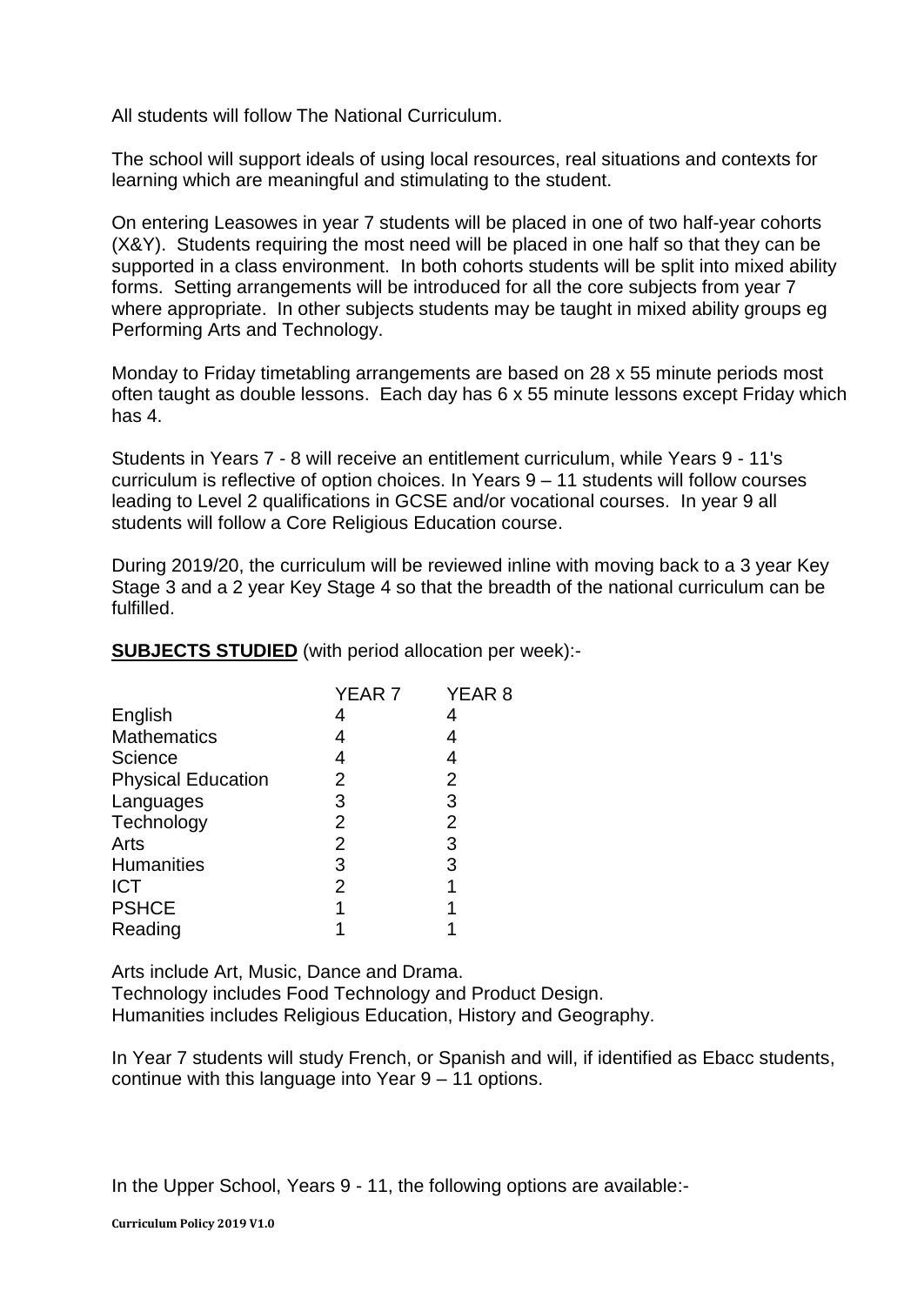All students will follow The National Curriculum.

The school will support ideals of using local resources, real situations and contexts for learning which are meaningful and stimulating to the student.

On entering Leasowes in year 7 students will be placed in one of two half-year cohorts (X&Y). Students requiring the most need will be placed in one half so that they can be supported in a class environment. In both cohorts students will be split into mixed ability forms. Setting arrangements will be introduced for all the core subjects from year 7 where appropriate. In other subjects students may be taught in mixed ability groups eg Performing Arts and Technology.

Monday to Friday timetabling arrangements are based on 28 x 55 minute periods most often taught as double lessons. Each day has 6 x 55 minute lessons except Friday which has 4.

Students in Years 7 - 8 will receive an entitlement curriculum, while Years 9 - 11's curriculum is reflective of option choices. In Years 9 – 11 students will follow courses leading to Level 2 qualifications in GCSE and/or vocational courses. In year 9 all students will follow a Core Religious Education course.

During 2019/20, the curriculum will be reviewed inline with moving back to a 3 year Key Stage 3 and a 2 year Key Stage 4 so that the breadth of the national curriculum can be fulfilled.

**SUBJECTS STUDIED** (with period allocation per week):-

|                | YEAR <sub>8</sub> |
|----------------|-------------------|
|                |                   |
|                |                   |
|                |                   |
| 2              | 2                 |
| 3              | 3                 |
| $\overline{2}$ | $\overline{2}$    |
| 2              | 3                 |
| 3              | 3                 |
| 2              |                   |
| 1              |                   |
|                |                   |
|                | YEAR 7            |

Arts include Art, Music, Dance and Drama. Technology includes Food Technology and Product Design. Humanities includes Religious Education, History and Geography.

In Year 7 students will study French, or Spanish and will, if identified as Ebacc students, continue with this language into Year 9 – 11 options.

In the Upper School, Years 9 - 11, the following options are available:-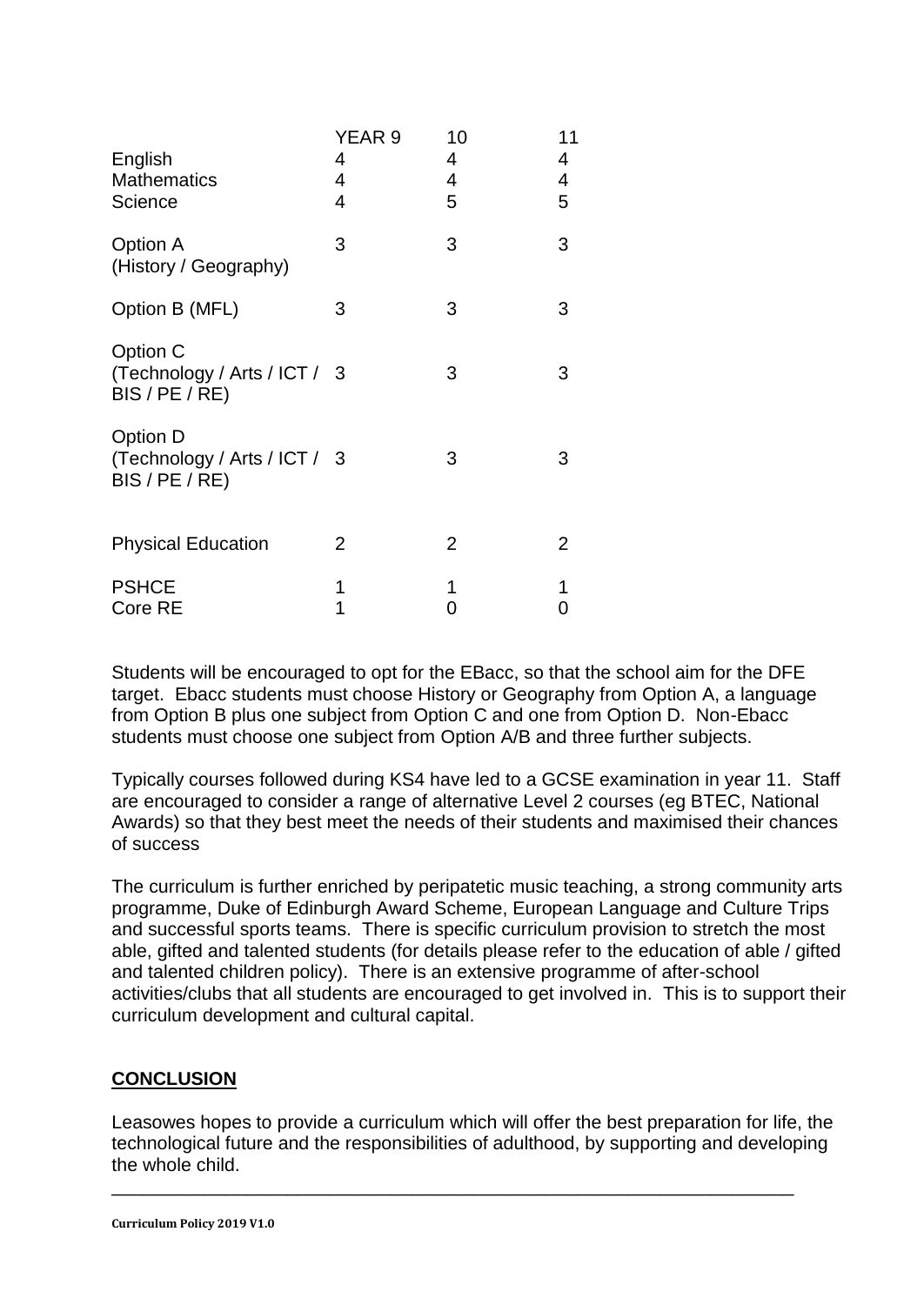| English<br><b>Mathematics</b><br>Science                     | YEAR 9<br>4<br>4<br>4 | 10<br>4<br>4<br>5 | 11<br>4<br>4<br>5 |
|--------------------------------------------------------------|-----------------------|-------------------|-------------------|
| Option A<br>(History / Geography)                            | 3                     | 3                 | 3                 |
| Option B (MFL)                                               | 3                     | 3                 | 3                 |
| Option C<br>(Technology / Arts / ICT / 3<br>BIS / PE / RE)   |                       | 3                 | 3                 |
| Option D<br>(Technology / Arts / ICT / 3<br>$BIS$ / PE / RE) |                       | 3                 | 3                 |
| <b>Physical Education</b>                                    | 2                     | 2                 | 2                 |
| <b>PSHCE</b><br>Core RE                                      | 1<br>1                | 1<br>0            | 1<br>0            |

Students will be encouraged to opt for the EBacc, so that the school aim for the DFE target. Ebacc students must choose History or Geography from Option A, a language from Option B plus one subject from Option C and one from Option D. Non-Ebacc students must choose one subject from Option A/B and three further subjects.

Typically courses followed during KS4 have led to a GCSE examination in year 11. Staff are encouraged to consider a range of alternative Level 2 courses (eg BTEC, National Awards) so that they best meet the needs of their students and maximised their chances of success

The curriculum is further enriched by peripatetic music teaching, a strong community arts programme, Duke of Edinburgh Award Scheme, European Language and Culture Trips and successful sports teams. There is specific curriculum provision to stretch the most able, gifted and talented students (for details please refer to the education of able / gifted and talented children policy). There is an extensive programme of after-school activities/clubs that all students are encouraged to get involved in. This is to support their curriculum development and cultural capital.

## **CONCLUSION**

Leasowes hopes to provide a curriculum which will offer the best preparation for life, the technological future and the responsibilities of adulthood, by supporting and developing the whole child.

\_\_\_\_\_\_\_\_\_\_\_\_\_\_\_\_\_\_\_\_\_\_\_\_\_\_\_\_\_\_\_\_\_\_\_\_\_\_\_\_\_\_\_\_\_\_\_\_\_\_\_\_\_\_\_\_\_\_\_\_\_\_\_\_\_\_